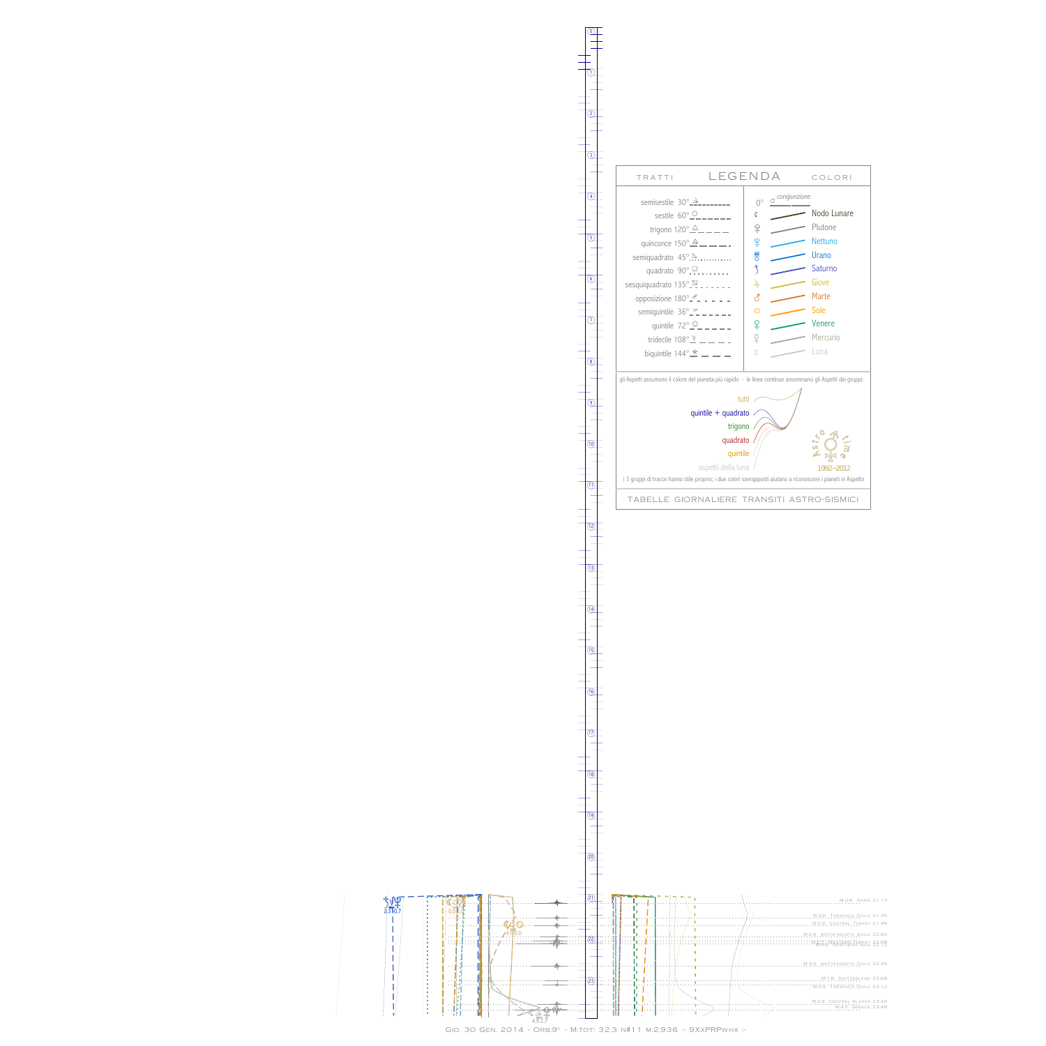